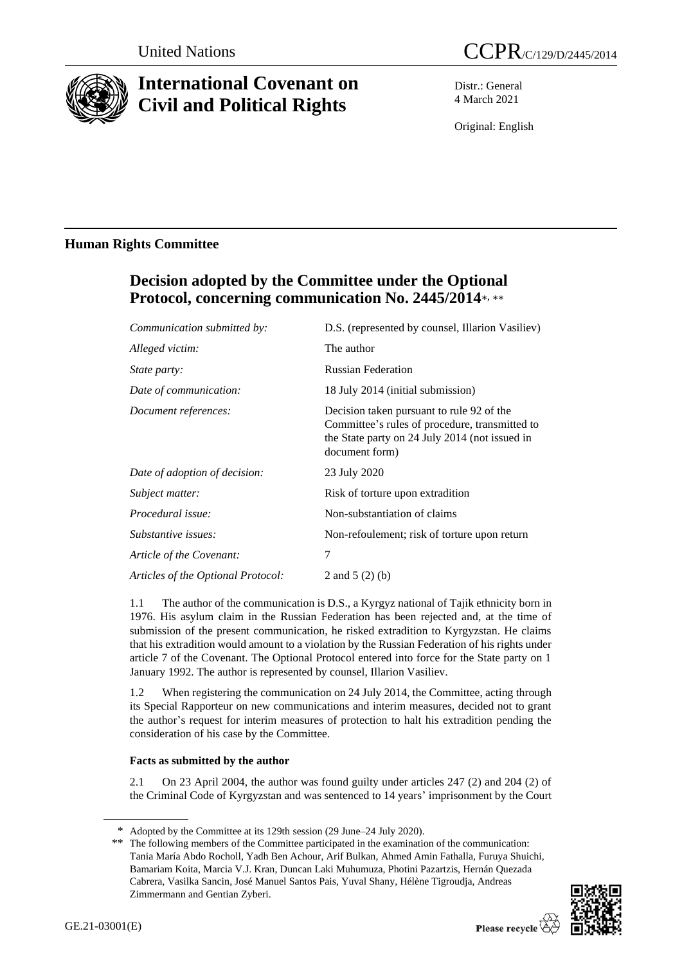

# **International Covenant on Civil and Political Rights**

Distr.: General 4 March 2021

Original: English

## **Human Rights Committee**

# **Decision adopted by the Committee under the Optional**  Protocol, concerning communication No. 2445/2014\*, \*\*

| Communication submitted by:        | D.S. (represented by counsel, Illarion Vasiliev)                                                                                                                |
|------------------------------------|-----------------------------------------------------------------------------------------------------------------------------------------------------------------|
| Alleged victim:                    | The author                                                                                                                                                      |
| <i>State party:</i>                | <b>Russian Federation</b>                                                                                                                                       |
| Date of communication:             | 18 July 2014 (initial submission)                                                                                                                               |
| Document references:               | Decision taken pursuant to rule 92 of the<br>Committee's rules of procedure, transmitted to<br>the State party on 24 July 2014 (not issued in<br>document form) |
| Date of adoption of decision:      | 23 July 2020                                                                                                                                                    |
| Subject matter:                    | Risk of torture upon extradition                                                                                                                                |
| Procedural issue:                  | Non-substantiation of claims                                                                                                                                    |
| Substantive issues:                | Non-refoulement; risk of torture upon return                                                                                                                    |
| Article of the Covenant:           | $\overline{7}$                                                                                                                                                  |
| Articles of the Optional Protocol: | 2 and $5(2)(b)$                                                                                                                                                 |

1.1 The author of the communication is D.S., a Kyrgyz national of Tajik ethnicity born in 1976. His asylum claim in the Russian Federation has been rejected and, at the time of submission of the present communication, he risked extradition to Kyrgyzstan. He claims that his extradition would amount to a violation by the Russian Federation of his rights under article 7 of the Covenant. The Optional Protocol entered into force for the State party on 1 January 1992. The author is represented by counsel, Illarion Vasiliev.

1.2 When registering the communication on 24 July 2014, the Committee, acting through its Special Rapporteur on new communications and interim measures, decided not to grant the author's request for interim measures of protection to halt his extradition pending the consideration of his case by the Committee.

### **Facts as submitted by the author**

2.1 On 23 April 2004, the author was found guilty under articles 247 (2) and 204 (2) of the Criminal Code of Kyrgyzstan and was sentenced to 14 years' imprisonment by the Court

<sup>\*\*</sup> The following members of the Committee participated in the examination of the communication: Tania María Abdo Rocholl, Yadh Ben Achour, Arif Bulkan, Ahmed Amin Fathalla, Furuya Shuichi, Bamariam Koita, Marcia V.J. Kran, Duncan Laki Muhumuza, Photini Pazartzis, Hernán Quezada Cabrera, Vasilka Sancin, José Manuel Santos Pais, Yuval Shany, Hélène Tigroudja, Andreas Zimmermann and Gentian Zyberi.



<sup>\*</sup> Adopted by the Committee at its 129th session (29 June–24 July 2020).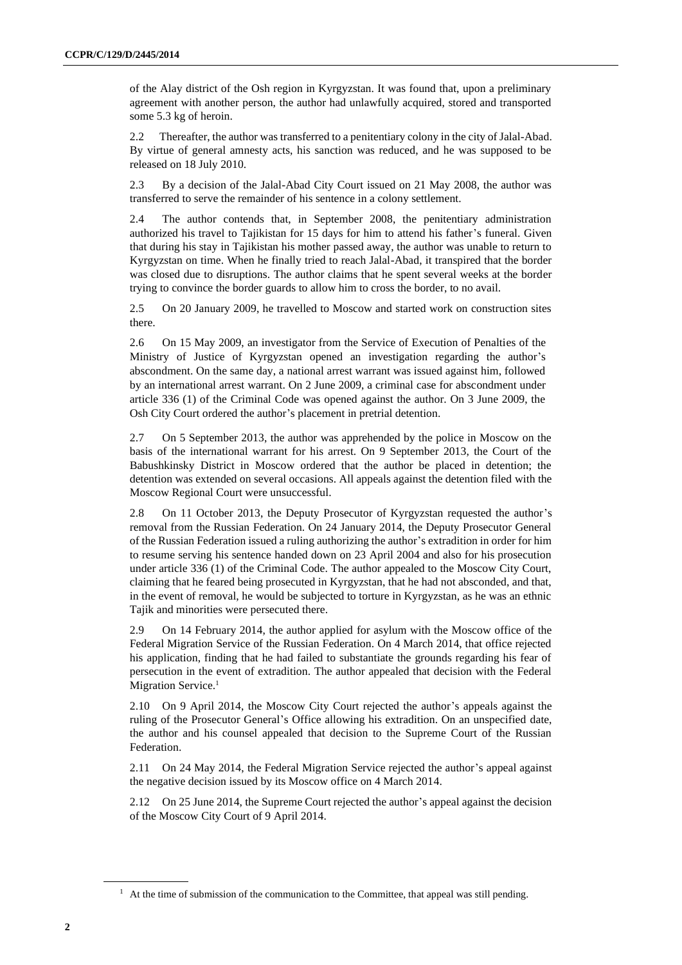of the Alay district of the Osh region in Kyrgyzstan. It was found that, upon a preliminary agreement with another person, the author had unlawfully acquired, stored and transported some 5.3 kg of heroin.

2.2 Thereafter, the author was transferred to a penitentiary colony in the city of Jalal-Abad. By virtue of general amnesty acts, his sanction was reduced, and he was supposed to be released on 18 July 2010.

2.3 By a decision of the Jalal-Abad City Court issued on 21 May 2008, the author was transferred to serve the remainder of his sentence in a colony settlement.

2.4 The author contends that, in September 2008, the penitentiary administration authorized his travel to Tajikistan for 15 days for him to attend his father's funeral. Given that during his stay in Tajikistan his mother passed away, the author was unable to return to Kyrgyzstan on time. When he finally tried to reach Jalal-Abad, it transpired that the border was closed due to disruptions. The author claims that he spent several weeks at the border trying to convince the border guards to allow him to cross the border, to no avail.

2.5 On 20 January 2009, he travelled to Moscow and started work on construction sites there.

2.6 On 15 May 2009, an investigator from the Service of Execution of Penalties of the Ministry of Justice of Kyrgyzstan opened an investigation regarding the author's abscondment. On the same day, a national arrest warrant was issued against him, followed by an international arrest warrant. On 2 June 2009, a criminal case for abscondment under article 336 (1) of the Criminal Code was opened against the author. On 3 June 2009, the Osh City Court ordered the author's placement in pretrial detention.

2.7 On 5 September 2013, the author was apprehended by the police in Moscow on the basis of the international warrant for his arrest. On 9 September 2013, the Court of the Babushkinsky District in Moscow ordered that the author be placed in detention; the detention was extended on several occasions. All appeals against the detention filed with the Moscow Regional Court were unsuccessful.

2.8 On 11 October 2013, the Deputy Prosecutor of Kyrgyzstan requested the author's removal from the Russian Federation. On 24 January 2014, the Deputy Prosecutor General of the Russian Federation issued a ruling authorizing the author's extradition in order for him to resume serving his sentence handed down on 23 April 2004 and also for his prosecution under article 336 (1) of the Criminal Code. The author appealed to the Moscow City Court, claiming that he feared being prosecuted in Kyrgyzstan, that he had not absconded, and that, in the event of removal, he would be subjected to torture in Kyrgyzstan, as he was an ethnic Tajik and minorities were persecuted there.

2.9 On 14 February 2014, the author applied for asylum with the Moscow office of the Federal Migration Service of the Russian Federation. On 4 March 2014, that office rejected his application, finding that he had failed to substantiate the grounds regarding his fear of persecution in the event of extradition. The author appealed that decision with the Federal Migration Service.<sup>1</sup>

2.10 On 9 April 2014, the Moscow City Court rejected the author's appeals against the ruling of the Prosecutor General's Office allowing his extradition. On an unspecified date, the author and his counsel appealed that decision to the Supreme Court of the Russian Federation.

2.11 On 24 May 2014, the Federal Migration Service rejected the author's appeal against the negative decision issued by its Moscow office on 4 March 2014.

2.12 On 25 June 2014, the Supreme Court rejected the author's appeal against the decision of the Moscow City Court of 9 April 2014.

 $1$  At the time of submission of the communication to the Committee, that appeal was still pending.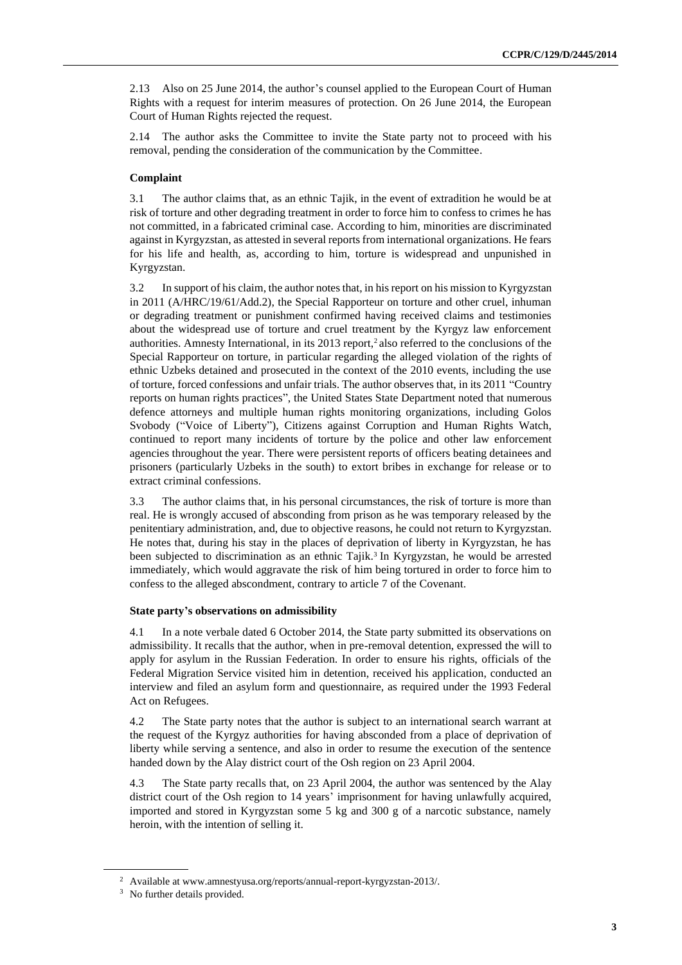2.13 Also on 25 June 2014, the author's counsel applied to the European Court of Human Rights with a request for interim measures of protection. On 26 June 2014, the European Court of Human Rights rejected the request.

2.14 The author asks the Committee to invite the State party not to proceed with his removal, pending the consideration of the communication by the Committee.

#### **Complaint**

3.1 The author claims that, as an ethnic Tajik, in the event of extradition he would be at risk of torture and other degrading treatment in order to force him to confess to crimes he has not committed, in a fabricated criminal case. According to him, minorities are discriminated against in Kyrgyzstan, as attested in several reports from international organizations. He fears for his life and health, as, according to him, torture is widespread and unpunished in Kyrgyzstan.

3.2 In support of his claim, the author notes that, in his report on his mission to Kyrgyzstan in 2011 (A/HRC/19/61/Add.2), the Special Rapporteur on torture and other cruel, inhuman or degrading treatment or punishment confirmed having received claims and testimonies about the widespread use of torture and cruel treatment by the Kyrgyz law enforcement authorities. Amnesty International, in its 2013 report,<sup>2</sup> also referred to the conclusions of the Special Rapporteur on torture, in particular regarding the alleged violation of the rights of ethnic Uzbeks detained and prosecuted in the context of the 2010 events, including the use of torture, forced confessions and unfair trials. The author observes that, in its 2011 "Country reports on human rights practices", the United States State Department noted that numerous defence attorneys and multiple human rights monitoring organizations, including Golos Svobody ("Voice of Liberty"), Citizens against Corruption and Human Rights Watch, continued to report many incidents of torture by the police and other law enforcement agencies throughout the year. There were persistent reports of officers beating detainees and prisoners (particularly Uzbeks in the south) to extort bribes in exchange for release or to extract criminal confessions.

3.3 The author claims that, in his personal circumstances, the risk of torture is more than real. He is wrongly accused of absconding from prison as he was temporary released by the penitentiary administration, and, due to objective reasons, he could not return to Kyrgyzstan. He notes that, during his stay in the places of deprivation of liberty in Kyrgyzstan, he has been subjected to discrimination as an ethnic Tajik.<sup>3</sup> In Kyrgyzstan, he would be arrested immediately, which would aggravate the risk of him being tortured in order to force him to confess to the alleged abscondment, contrary to article 7 of the Covenant.

#### **State party's observations on admissibility**

4.1 In a note verbale dated 6 October 2014, the State party submitted its observations on admissibility. It recalls that the author, when in pre-removal detention, expressed the will to apply for asylum in the Russian Federation. In order to ensure his rights, officials of the Federal Migration Service visited him in detention, received his application, conducted an interview and filed an asylum form and questionnaire, as required under the 1993 Federal Act on Refugees.

4.2 The State party notes that the author is subject to an international search warrant at the request of the Kyrgyz authorities for having absconded from a place of deprivation of liberty while serving a sentence, and also in order to resume the execution of the sentence handed down by the Alay district court of the Osh region on 23 April 2004.

4.3 The State party recalls that, on 23 April 2004, the author was sentenced by the Alay district court of the Osh region to 14 years' imprisonment for having unlawfully acquired, imported and stored in Kyrgyzstan some 5 kg and 300 g of a narcotic substance, namely heroin, with the intention of selling it.

<sup>2</sup> Available at www.amnestyusa.org/reports/annual-report-kyrgyzstan-2013/.

<sup>&</sup>lt;sup>3</sup> No further details provided.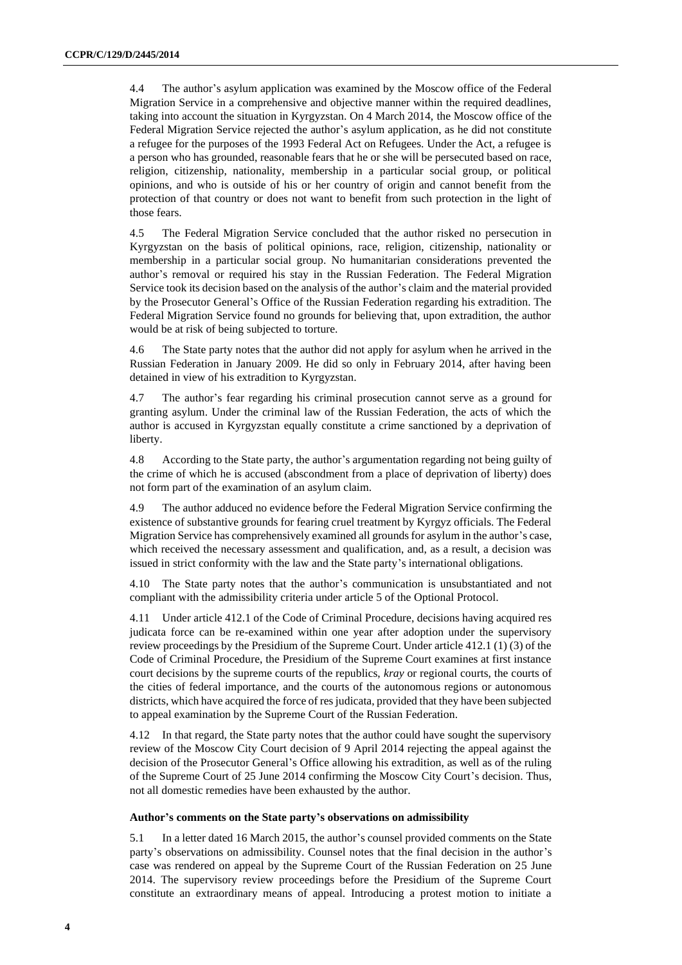4.4 The author's asylum application was examined by the Moscow office of the Federal Migration Service in a comprehensive and objective manner within the required deadlines, taking into account the situation in Kyrgyzstan. On 4 March 2014, the Moscow office of the Federal Migration Service rejected the author's asylum application, as he did not constitute a refugee for the purposes of the 1993 Federal Act on Refugees. Under the Act, a refugee is a person who has grounded, reasonable fears that he or she will be persecuted based on race, religion, citizenship, nationality, membership in a particular social group, or political opinions, and who is outside of his or her country of origin and cannot benefit from the protection of that country or does not want to benefit from such protection in the light of those fears.

4.5 The Federal Migration Service concluded that the author risked no persecution in Kyrgyzstan on the basis of political opinions, race, religion, citizenship, nationality or membership in a particular social group. No humanitarian considerations prevented the author's removal or required his stay in the Russian Federation. The Federal Migration Service took its decision based on the analysis of the author's claim and the material provided by the Prosecutor General's Office of the Russian Federation regarding his extradition. The Federal Migration Service found no grounds for believing that, upon extradition, the author would be at risk of being subjected to torture.

4.6 The State party notes that the author did not apply for asylum when he arrived in the Russian Federation in January 2009. He did so only in February 2014, after having been detained in view of his extradition to Kyrgyzstan.

4.7 The author's fear regarding his criminal prosecution cannot serve as a ground for granting asylum. Under the criminal law of the Russian Federation, the acts of which the author is accused in Kyrgyzstan equally constitute a crime sanctioned by a deprivation of liberty.

4.8 According to the State party, the author's argumentation regarding not being guilty of the crime of which he is accused (abscondment from a place of deprivation of liberty) does not form part of the examination of an asylum claim.

4.9 The author adduced no evidence before the Federal Migration Service confirming the existence of substantive grounds for fearing cruel treatment by Kyrgyz officials. The Federal Migration Service has comprehensively examined all grounds for asylum in the author's case, which received the necessary assessment and qualification, and, as a result, a decision was issued in strict conformity with the law and the State party's international obligations.

4.10 The State party notes that the author's communication is unsubstantiated and not compliant with the admissibility criteria under article 5 of the Optional Protocol.

4.11 Under article 412.1 of the Code of Criminal Procedure, decisions having acquired res judicata force can be re-examined within one year after adoption under the supervisory review proceedings by the Presidium of the Supreme Court. Under article 412.1 (1) (3) of the Code of Criminal Procedure, the Presidium of the Supreme Court examines at first instance court decisions by the supreme courts of the republics, *kray* or regional courts, the courts of the cities of federal importance, and the courts of the autonomous regions or autonomous districts, which have acquired the force of res judicata, provided that they have been subjected to appeal examination by the Supreme Court of the Russian Federation.

4.12 In that regard, the State party notes that the author could have sought the supervisory review of the Moscow City Court decision of 9 April 2014 rejecting the appeal against the decision of the Prosecutor General's Office allowing his extradition, as well as of the ruling of the Supreme Court of 25 June 2014 confirming the Moscow City Court's decision. Thus, not all domestic remedies have been exhausted by the author.

#### **Author's comments on the State party's observations on admissibility**

5.1 In a letter dated 16 March 2015, the author's counsel provided comments on the State party's observations on admissibility. Counsel notes that the final decision in the author's case was rendered on appeal by the Supreme Court of the Russian Federation on 25 June 2014. The supervisory review proceedings before the Presidium of the Supreme Court constitute an extraordinary means of appeal. Introducing a protest motion to initiate a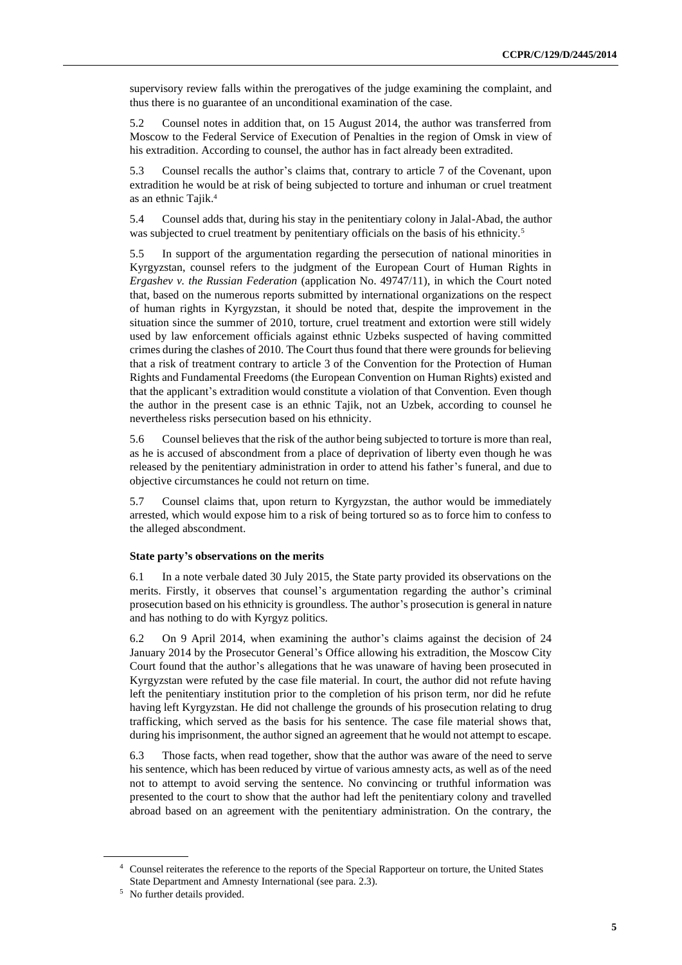supervisory review falls within the prerogatives of the judge examining the complaint, and thus there is no guarantee of an unconditional examination of the case.

5.2 Counsel notes in addition that, on 15 August 2014, the author was transferred from Moscow to the Federal Service of Execution of Penalties in the region of Omsk in view of his extradition. According to counsel, the author has in fact already been extradited.

5.3 Counsel recalls the author's claims that, contrary to article 7 of the Covenant, upon extradition he would be at risk of being subjected to torture and inhuman or cruel treatment as an ethnic Tajik.<sup>4</sup>

5.4 Counsel adds that, during his stay in the penitentiary colony in Jalal-Abad, the author was subjected to cruel treatment by penitentiary officials on the basis of his ethnicity.<sup>5</sup>

5.5 In support of the argumentation regarding the persecution of national minorities in Kyrgyzstan, counsel refers to the judgment of the European Court of Human Rights in *Ergashev v. the Russian Federation* (application No. 49747/11), in which the Court noted that, based on the numerous reports submitted by international organizations on the respect of human rights in Kyrgyzstan, it should be noted that, despite the improvement in the situation since the summer of 2010, torture, cruel treatment and extortion were still widely used by law enforcement officials against ethnic Uzbeks suspected of having committed crimes during the clashes of 2010. The Court thus found that there were grounds for believing that a risk of treatment contrary to article 3 of the Convention for the Protection of Human Rights and Fundamental Freedoms (the European Convention on Human Rights) existed and that the applicant's extradition would constitute a violation of that Convention. Even though the author in the present case is an ethnic Tajik, not an Uzbek, according to counsel he nevertheless risks persecution based on his ethnicity.

5.6 Counsel believes that the risk of the author being subjected to torture is more than real, as he is accused of abscondment from a place of deprivation of liberty even though he was released by the penitentiary administration in order to attend his father's funeral, and due to objective circumstances he could not return on time.

5.7 Counsel claims that, upon return to Kyrgyzstan, the author would be immediately arrested, which would expose him to a risk of being tortured so as to force him to confess to the alleged abscondment.

#### **State party's observations on the merits**

6.1 In a note verbale dated 30 July 2015, the State party provided its observations on the merits. Firstly, it observes that counsel's argumentation regarding the author's criminal prosecution based on his ethnicity is groundless. The author's prosecution is general in nature and has nothing to do with Kyrgyz politics.

6.2 On 9 April 2014, when examining the author's claims against the decision of 24 January 2014 by the Prosecutor General's Office allowing his extradition, the Moscow City Court found that the author's allegations that he was unaware of having been prosecuted in Kyrgyzstan were refuted by the case file material. In court, the author did not refute having left the penitentiary institution prior to the completion of his prison term, nor did he refute having left Kyrgyzstan. He did not challenge the grounds of his prosecution relating to drug trafficking, which served as the basis for his sentence. The case file material shows that, during his imprisonment, the author signed an agreement that he would not attempt to escape.

6.3 Those facts, when read together, show that the author was aware of the need to serve his sentence, which has been reduced by virtue of various amnesty acts, as well as of the need not to attempt to avoid serving the sentence. No convincing or truthful information was presented to the court to show that the author had left the penitentiary colony and travelled abroad based on an agreement with the penitentiary administration. On the contrary, the

<sup>4</sup> Counsel reiterates the reference to the reports of the Special Rapporteur on torture, the United States State Department and Amnesty International (see para. 2.3).

<sup>&</sup>lt;sup>5</sup> No further details provided.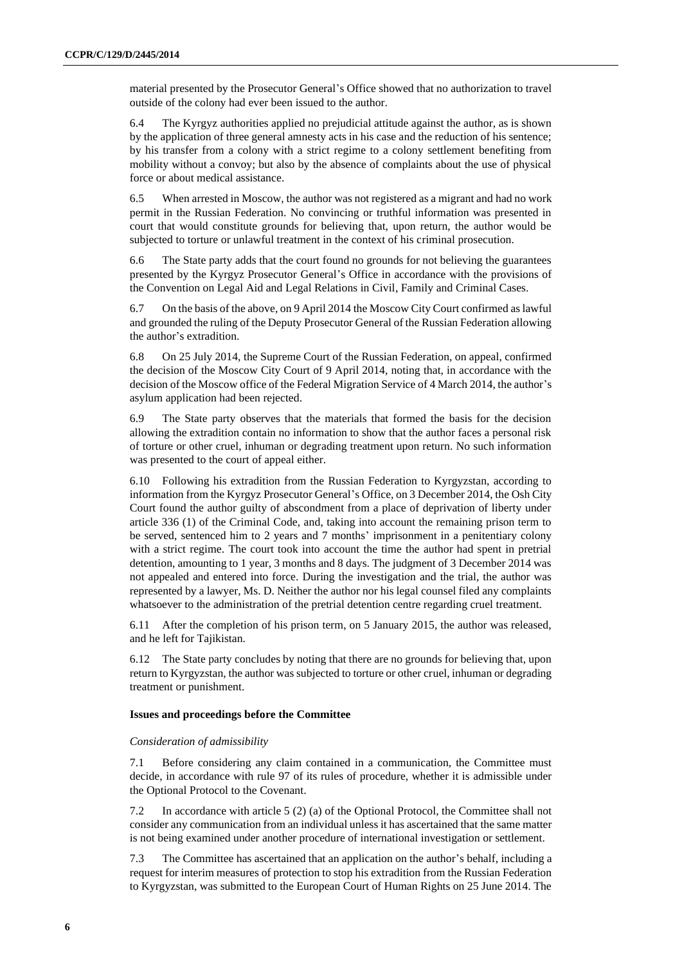material presented by the Prosecutor General's Office showed that no authorization to travel outside of the colony had ever been issued to the author.

6.4 The Kyrgyz authorities applied no prejudicial attitude against the author, as is shown by the application of three general amnesty acts in his case and the reduction of his sentence; by his transfer from a colony with a strict regime to a colony settlement benefiting from mobility without a convoy; but also by the absence of complaints about the use of physical force or about medical assistance.

6.5 When arrested in Moscow, the author was not registered as a migrant and had no work permit in the Russian Federation. No convincing or truthful information was presented in court that would constitute grounds for believing that, upon return, the author would be subjected to torture or unlawful treatment in the context of his criminal prosecution.

6.6 The State party adds that the court found no grounds for not believing the guarantees presented by the Kyrgyz Prosecutor General's Office in accordance with the provisions of the Convention on Legal Aid and Legal Relations in Civil, Family and Criminal Cases.

6.7 On the basis of the above, on 9 April 2014 the Moscow City Court confirmed as lawful and grounded the ruling of the Deputy Prosecutor General of the Russian Federation allowing the author's extradition.

6.8 On 25 July 2014, the Supreme Court of the Russian Federation, on appeal, confirmed the decision of the Moscow City Court of 9 April 2014, noting that, in accordance with the decision of the Moscow office of the Federal Migration Service of 4 March 2014, the author's asylum application had been rejected.

6.9 The State party observes that the materials that formed the basis for the decision allowing the extradition contain no information to show that the author faces a personal risk of torture or other cruel, inhuman or degrading treatment upon return. No such information was presented to the court of appeal either.

6.10 Following his extradition from the Russian Federation to Kyrgyzstan, according to information from the Kyrgyz Prosecutor General's Office, on 3 December 2014, the Osh City Court found the author guilty of abscondment from a place of deprivation of liberty under article 336 (1) of the Criminal Code, and, taking into account the remaining prison term to be served, sentenced him to 2 years and 7 months' imprisonment in a penitentiary colony with a strict regime. The court took into account the time the author had spent in pretrial detention, amounting to 1 year, 3 months and 8 days. The judgment of 3 December 2014 was not appealed and entered into force. During the investigation and the trial, the author was represented by a lawyer, Ms. D. Neither the author nor his legal counsel filed any complaints whatsoever to the administration of the pretrial detention centre regarding cruel treatment.

6.11 After the completion of his prison term, on 5 January 2015, the author was released, and he left for Tajikistan.

6.12 The State party concludes by noting that there are no grounds for believing that, upon return to Kyrgyzstan, the author was subjected to torture or other cruel, inhuman or degrading treatment or punishment.

#### **Issues and proceedings before the Committee**

#### *Consideration of admissibility*

7.1 Before considering any claim contained in a communication, the Committee must decide, in accordance with rule 97 of its rules of procedure, whether it is admissible under the Optional Protocol to the Covenant.

7.2 In accordance with article 5 (2) (a) of the Optional Protocol, the Committee shall not consider any communication from an individual unless it has ascertained that the same matter is not being examined under another procedure of international investigation or settlement.

7.3 The Committee has ascertained that an application on the author's behalf, including a request for interim measures of protection to stop his extradition from the Russian Federation to Kyrgyzstan, was submitted to the European Court of Human Rights on 25 June 2014. The